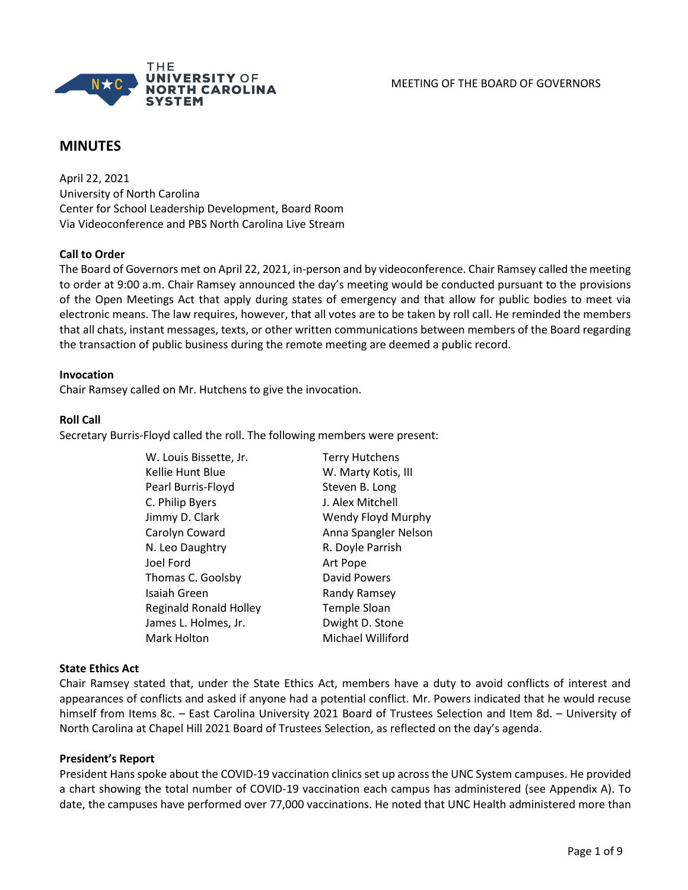

# **MINUTES**

April 22, 2021 University of North Carolina Center for School Leadership Development, Board Room Via Videoconference and PBS North Carolina Live Stream

### **Call to Order**

The Board of Governors met on April 22, 2021, in-person and by videoconference. Chair Ramsey called the meeting to order at 9:00 a.m. Chair Ramsey announced the day's meeting would be conducted pursuant to the provisions of the Open Meetings Act that apply during states of emergency and that allow for public bodies to meet via electronic means. The law requires, however, that all votes are to be taken by roll call. He reminded the members that all chats, instant messages, texts, or other written communications between members of the Board regarding the transaction of public business during the remote meeting are deemed a public record.

### **Invocation**

Chair Ramsey called on Mr. Hutchens to give the invocation.

### **Roll Call**

Secretary Burris-Floyd called the roll. The following members were present:

| W. Louis Bissette, Jr.        | <b>Terry Hutchens</b> |
|-------------------------------|-----------------------|
| Kellie Hunt Blue              | W. Marty Kotis, III   |
| Pearl Burris-Floyd            | Steven B. Long        |
| C. Philip Byers               | J. Alex Mitchell      |
| Jimmy D. Clark                | Wendy Floyd Murphy    |
| Carolyn Coward                | Anna Spangler Nelson  |
| N. Leo Daughtry               | R. Doyle Parrish      |
| Joel Ford                     | Art Pope              |
| Thomas C. Goolsby             | David Powers          |
| Isaiah Green                  | Randy Ramsey          |
| <b>Reginald Ronald Holley</b> | <b>Temple Sloan</b>   |
| James L. Holmes, Jr.          | Dwight D. Stone       |
| Mark Holton                   | Michael Williford     |

#### **State Ethics Act**

Chair Ramsey stated that, under the State Ethics Act, members have a duty to avoid conflicts of interest and appearances of conflicts and asked if anyone had a potential conflict. Mr. Powers indicated that he would recuse himself from Items 8c. – East Carolina University 2021 Board of Trustees Selection and Item 8d. – University of North Carolina at Chapel Hill 2021 Board of Trustees Selection, as reflected on the day's agenda.

### **President's Report**

President Hans spoke about the COVID-19 vaccination clinics set up across the UNC System campuses. He provided a chart showing the total number of COVID-19 vaccination each campus has administered (see Appendix A). To date, the campuses have performed over 77,000 vaccinations. He noted that UNC Health administered more than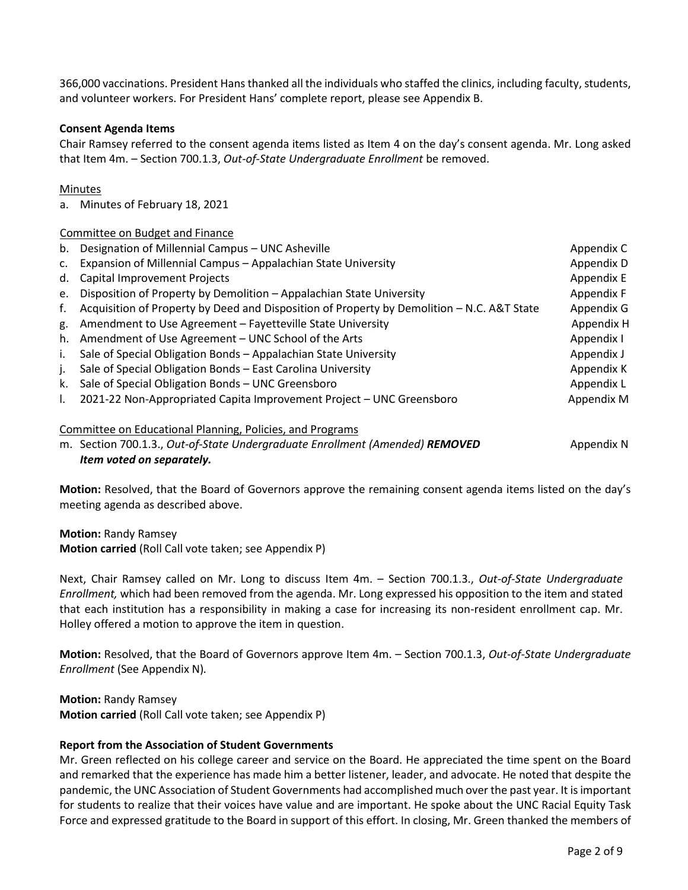366,000 vaccinations. President Hansthanked all the individuals who staffed the clinics, including faculty, students, and volunteer workers. For President Hans' complete report, please see Appendix B.

### **Consent Agenda Items**

Chair Ramsey referred to the consent agenda items listed as Item 4 on the day's consent agenda. Mr. Long asked that Item 4m. – Section 700.1.3, *Out-of-State Undergraduate Enrollment* be removed.

### Minutes

a. Minutes of February 18, 2021

### Committee on Budget and Finance

| b.                                                        | Designation of Millennial Campus - UNC Asheville                                           | Appendix C |
|-----------------------------------------------------------|--------------------------------------------------------------------------------------------|------------|
| C.                                                        | Expansion of Millennial Campus - Appalachian State University                              | Appendix D |
| d.                                                        | Capital Improvement Projects                                                               | Appendix E |
| e.                                                        | Disposition of Property by Demolition - Appalachian State University                       | Appendix F |
| f.                                                        | Acquisition of Property by Deed and Disposition of Property by Demolition - N.C. A&T State | Appendix G |
| g.                                                        | Amendment to Use Agreement - Fayetteville State University                                 | Appendix H |
| h.                                                        | Amendment of Use Agreement - UNC School of the Arts                                        | Appendix I |
| $\mathbf{L}$                                              | Sale of Special Obligation Bonds - Appalachian State University                            | Appendix J |
| $\mathbf{L}$                                              | Sale of Special Obligation Bonds - East Carolina University                                | Appendix K |
| k.                                                        | Sale of Special Obligation Bonds - UNC Greensboro                                          | Appendix L |
| I.                                                        | 2021-22 Non-Appropriated Capita Improvement Project - UNC Greensboro                       | Appendix M |
| Committee on Educational Planning, Policies, and Programs |                                                                                            |            |
|                                                           | m. Section 700.1.3., Out-of-State Undergraduate Enrollment (Amended) REMOVED               | Appendix N |
|                                                           | Item voted on separately.                                                                  |            |

**Motion:** Resolved, that the Board of Governors approve the remaining consent agenda items listed on the day's meeting agenda as described above.

**Motion:** Randy Ramsey **Motion carried** (Roll Call vote taken; see Appendix P)

Next, Chair Ramsey called on Mr. Long to discuss Item 4m. – Section 700.1.3., *Out-of-State Undergraduate Enrollment,* which had been removed from the agenda. Mr. Long expressed his opposition to the item and stated that each institution has a responsibility in making a case for increasing its non-resident enrollment cap. Mr. Holley offered a motion to approve the item in question.

**Motion:** Resolved, that the Board of Governors approve Item 4m. – Section 700.1.3, *Out-of-State Undergraduate Enrollment* (See Appendix N)*.*

**Motion:** Randy Ramsey **Motion carried** (Roll Call vote taken; see Appendix P)

### **Report from the Association of Student Governments**

Mr. Green reflected on his college career and service on the Board. He appreciated the time spent on the Board and remarked that the experience has made him a better listener, leader, and advocate. He noted that despite the pandemic, the UNC Association of Student Governments had accomplished much over the past year. It is important for students to realize that their voices have value and are important. He spoke about the UNC Racial Equity Task Force and expressed gratitude to the Board in support of this effort. In closing, Mr. Green thanked the members of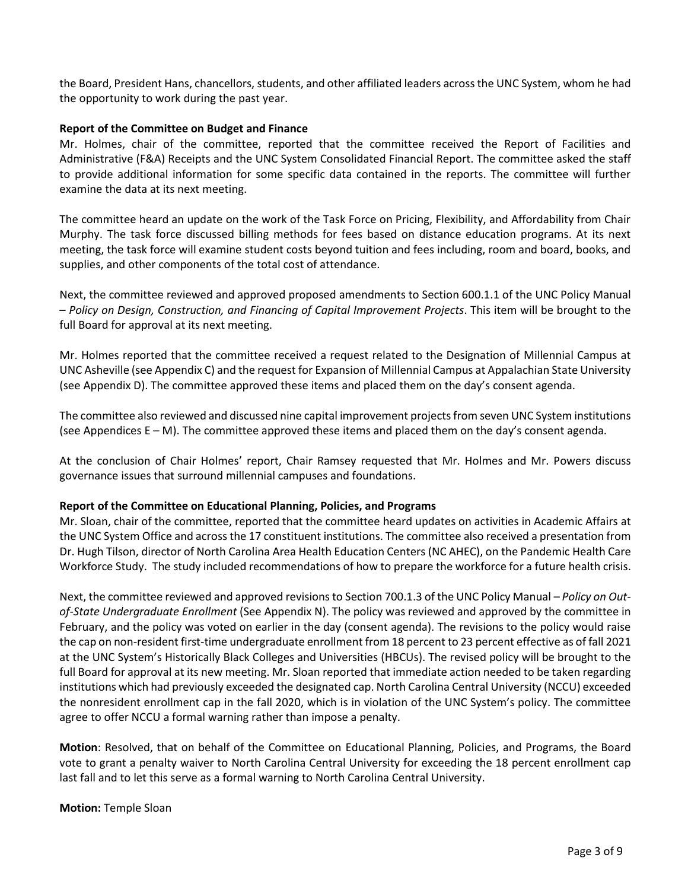the Board, President Hans, chancellors, students, and other affiliated leaders across the UNC System, whom he had the opportunity to work during the past year.

### **Report of the Committee on Budget and Finance**

Mr. Holmes, chair of the committee, reported that the committee received the Report of Facilities and Administrative (F&A) Receipts and the UNC System Consolidated Financial Report. The committee asked the staff to provide additional information for some specific data contained in the reports. The committee will further examine the data at its next meeting.

The committee heard an update on the work of the Task Force on Pricing, Flexibility, and Affordability from Chair Murphy. The task force discussed billing methods for fees based on distance education programs. At its next meeting, the task force will examine student costs beyond tuition and fees including, room and board, books, and supplies, and other components of the total cost of attendance.

Next, the committee reviewed and approved proposed amendments to Section 600.1.1 of the UNC Policy Manual – *Policy on Design, Construction, and Financing of Capital Improvement Projects*. This item will be brought to the full Board for approval at its next meeting.

Mr. Holmes reported that the committee received a request related to the Designation of Millennial Campus at UNC Asheville (see Appendix C) and the request for Expansion of Millennial Campus at Appalachian State University (see Appendix D). The committee approved these items and placed them on the day's consent agenda.

The committee also reviewed and discussed nine capital improvement projects from seven UNC System institutions (see Appendices E – M). The committee approved these items and placed them on the day's consent agenda.

At the conclusion of Chair Holmes' report, Chair Ramsey requested that Mr. Holmes and Mr. Powers discuss governance issues that surround millennial campuses and foundations.

### **Report of the Committee on Educational Planning, Policies, and Programs**

Mr. Sloan, chair of the committee, reported that the committee heard updates on activities in Academic Affairs at the UNC System Office and across the 17 constituent institutions. The committee also received a presentation from Dr. Hugh Tilson, director of North Carolina Area Health Education Centers (NC AHEC), on the Pandemic Health Care Workforce Study. The study included recommendations of how to prepare the workforce for a future health crisis.

Next, the committee reviewed and approved revisions to Section 700.1.3 of the UNC Policy Manual – *Policy on Outof-State Undergraduate Enrollment* (See Appendix N). The policy was reviewed and approved by the committee in February, and the policy was voted on earlier in the day (consent agenda). The revisions to the policy would raise the cap on non-resident first-time undergraduate enrollment from 18 percent to 23 percent effective as of fall 2021 at the UNC System's Historically Black Colleges and Universities (HBCUs). The revised policy will be brought to the full Board for approval at its new meeting. Mr. Sloan reported that immediate action needed to be taken regarding institutions which had previously exceeded the designated cap. North Carolina Central University (NCCU) exceeded the nonresident enrollment cap in the fall 2020, which is in violation of the UNC System's policy. The committee agree to offer NCCU a formal warning rather than impose a penalty.

**Motion**: Resolved, that on behalf of the Committee on Educational Planning, Policies, and Programs, the Board vote to grant a penalty waiver to North Carolina Central University for exceeding the 18 percent enrollment cap last fall and to let this serve as a formal warning to North Carolina Central University.

**Motion:** Temple Sloan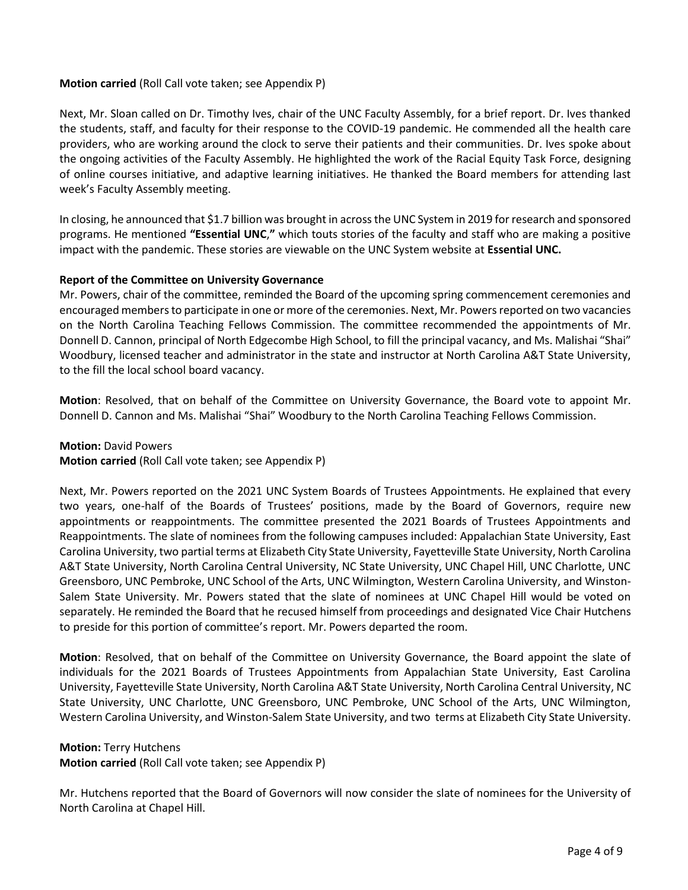### **Motion carried** (Roll Call vote taken; see Appendix P)

Next, Mr. Sloan called on Dr. Timothy Ives, chair of the UNC Faculty Assembly, for a brief report. Dr. Ives thanked the students, staff, and faculty for their response to the COVID-19 pandemic. He commended all the health care providers, who are working around the clock to serve their patients and their communities. Dr. Ives spoke about the ongoing activities of the Faculty Assembly. He highlighted the work of the Racial Equity Task Force, designing of online courses initiative, and adaptive learning initiatives. He thanked the Board members for attending last week's Faculty Assembly meeting.

In closing, he announced that \$1.7 billion was brought in across the UNC System in 2019 for research and sponsored programs. He mentioned **"Essential UNC**,**"** which touts stories of the faculty and staff who are making a positive impact with the pandemic. These stories are viewable on the UNC System website at **[Essential UNC.](https://www.northcarolina.edu/essential-unc/)**

### **Report of the Committee on University Governance**

Mr. Powers, chair of the committee, reminded the Board of the upcoming spring commencement ceremonies and encouraged members to participate in one or more of the ceremonies. Next, Mr. Powers reported on two vacancies on the North Carolina Teaching Fellows Commission. The committee recommended the appointments of Mr. Donnell D. Cannon, principal of North Edgecombe High School, to fill the principal vacancy, and Ms. Malishai "Shai" Woodbury, licensed teacher and administrator in the state and instructor at North Carolina A&T State University, to the fill the local school board vacancy.

**Motion**: Resolved, that on behalf of the Committee on University Governance, the Board vote to appoint Mr. Donnell D. Cannon and Ms. Malishai "Shai" Woodbury to the North Carolina Teaching Fellows Commission.

**Motion:** David Powers

**Motion carried** (Roll Call vote taken; see Appendix P)

Next, Mr. Powers reported on the 2021 UNC System Boards of Trustees Appointments. He explained that every two years, one-half of the Boards of Trustees' positions, made by the Board of Governors, require new appointments or reappointments. The committee presented the 2021 Boards of Trustees Appointments and Reappointments. The slate of nominees from the following campuses included: Appalachian State University, East Carolina University, two partial terms at Elizabeth City State University, Fayetteville State University, North Carolina A&T State University, North Carolina Central University, NC State University, UNC Chapel Hill, UNC Charlotte, UNC Greensboro, UNC Pembroke, UNC School of the Arts, UNC Wilmington, Western Carolina University, and Winston-Salem State University. Mr. Powers stated that the slate of nominees at UNC Chapel Hill would be voted on separately. He reminded the Board that he recused himself from proceedings and designated Vice Chair Hutchens to preside for this portion of committee's report. Mr. Powers departed the room.

**Motion**: Resolved, that on behalf of the Committee on University Governance, the Board appoint the slate of individuals for the 2021 Boards of Trustees Appointments from Appalachian State University, East Carolina University, Fayetteville State University, North Carolina A&T State University, North Carolina Central University, NC State University, UNC Charlotte, UNC Greensboro, UNC Pembroke, UNC School of the Arts, UNC Wilmington, Western Carolina University, and Winston-Salem State University, and two terms at Elizabeth City State University.

#### **Motion:** Terry Hutchens

**Motion carried** (Roll Call vote taken; see Appendix P)

Mr. Hutchens reported that the Board of Governors will now consider the slate of nominees for the University of North Carolina at Chapel Hill.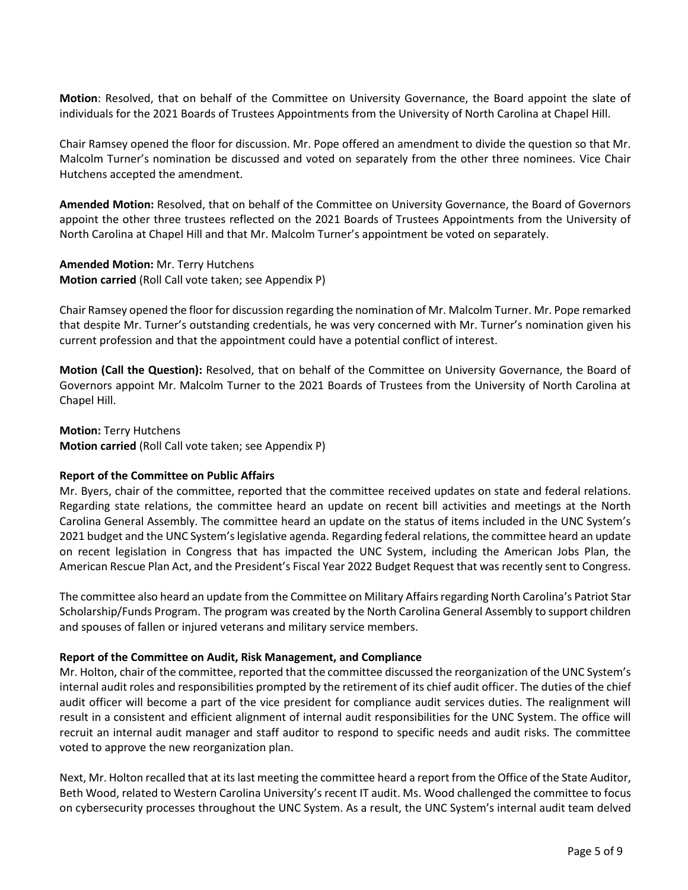**Motion**: Resolved, that on behalf of the Committee on University Governance, the Board appoint the slate of individuals for the 2021 Boards of Trustees Appointments from the University of North Carolina at Chapel Hill.

Chair Ramsey opened the floor for discussion. Mr. Pope offered an amendment to divide the question so that Mr. Malcolm Turner's nomination be discussed and voted on separately from the other three nominees. Vice Chair Hutchens accepted the amendment.

**Amended Motion:** Resolved, that on behalf of the Committee on University Governance, the Board of Governors appoint the other three trustees reflected on the 2021 Boards of Trustees Appointments from the University of North Carolina at Chapel Hill and that Mr. Malcolm Turner's appointment be voted on separately.

**Amended Motion:** Mr. Terry Hutchens **Motion carried** (Roll Call vote taken; see Appendix P)

Chair Ramsey opened the floor for discussion regarding the nomination of Mr. Malcolm Turner. Mr. Pope remarked that despite Mr. Turner's outstanding credentials, he was very concerned with Mr. Turner's nomination given his current profession and that the appointment could have a potential conflict of interest.

**Motion (Call the Question):** Resolved, that on behalf of the Committee on University Governance, the Board of Governors appoint Mr. Malcolm Turner to the 2021 Boards of Trustees from the University of North Carolina at Chapel Hill.

**Motion:** Terry Hutchens **Motion carried** (Roll Call vote taken; see Appendix P)

### **Report of the Committee on Public Affairs**

Mr. Byers, chair of the committee, reported that the committee received updates on state and federal relations. Regarding state relations, the committee heard an update on recent bill activities and meetings at the North Carolina General Assembly. The committee heard an update on the status of items included in the UNC System's 2021 budget and the UNC System's legislative agenda. Regarding federal relations, the committee heard an update on recent legislation in Congress that has impacted the UNC System, including the American Jobs Plan, the American Rescue Plan Act, and the President's Fiscal Year 2022 Budget Request that was recently sent to Congress.

The committee also heard an update from the Committee on Military Affairs regarding North Carolina's Patriot Star Scholarship/Funds Program. The program was created by the North Carolina General Assembly to support children and spouses of fallen or injured veterans and military service members.

### **Report of the Committee on Audit, Risk Management, and Compliance**

Mr. Holton, chair of the committee, reported that the committee discussed the reorganization of the UNC System's internal audit roles and responsibilities prompted by the retirement of its chief audit officer. The duties of the chief audit officer will become a part of the vice president for compliance audit services duties. The realignment will result in a consistent and efficient alignment of internal audit responsibilities for the UNC System. The office will recruit an internal audit manager and staff auditor to respond to specific needs and audit risks. The committee voted to approve the new reorganization plan.

Next, Mr. Holton recalled that at its last meeting the committee heard a report from the Office of the State Auditor, Beth Wood, related to Western Carolina University's recent IT audit. Ms. Wood challenged the committee to focus on cybersecurity processes throughout the UNC System. As a result, the UNC System's internal audit team delved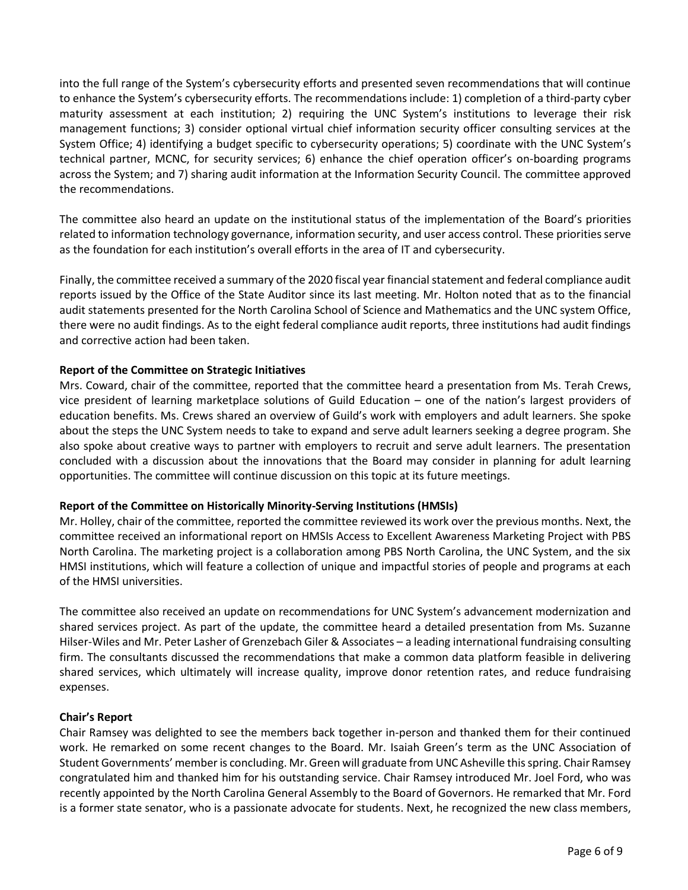into the full range of the System's cybersecurity efforts and presented seven recommendations that will continue to enhance the System's cybersecurity efforts. The recommendations include: 1) completion of a third-party cyber maturity assessment at each institution; 2) requiring the UNC System's institutions to leverage their risk management functions; 3) consider optional virtual chief information security officer consulting services at the System Office; 4) identifying a budget specific to cybersecurity operations; 5) coordinate with the UNC System's technical partner, MCNC, for security services; 6) enhance the chief operation officer's on-boarding programs across the System; and 7) sharing audit information at the Information Security Council. The committee approved the recommendations.

The committee also heard an update on the institutional status of the implementation of the Board's priorities related to information technology governance, information security, and user access control. These priorities serve as the foundation for each institution's overall efforts in the area of IT and cybersecurity.

Finally, the committee received a summary of the 2020 fiscal year financial statement and federal compliance audit reports issued by the Office of the State Auditor since its last meeting. Mr. Holton noted that as to the financial audit statements presented for the North Carolina School of Science and Mathematics and the UNC system Office, there were no audit findings. As to the eight federal compliance audit reports, three institutions had audit findings and corrective action had been taken.

### **Report of the Committee on Strategic Initiatives**

Mrs. Coward, chair of the committee, reported that the committee heard a presentation from Ms. Terah Crews, vice president of learning marketplace solutions of Guild Education – one of the nation's largest providers of education benefits. Ms. Crews shared an overview of Guild's work with employers and adult learners. She spoke about the steps the UNC System needs to take to expand and serve adult learners seeking a degree program. She also spoke about creative ways to partner with employers to recruit and serve adult learners. The presentation concluded with a discussion about the innovations that the Board may consider in planning for adult learning opportunities. The committee will continue discussion on this topic at its future meetings.

### **Report of the Committee on Historically Minority-Serving Institutions (HMSIs)**

Mr. Holley, chair of the committee, reported the committee reviewed its work over the previous months. Next, the committee received an informational report on HMSIs Access to Excellent Awareness Marketing Project with PBS North Carolina. The marketing project is a collaboration among PBS North Carolina, the UNC System, and the six HMSI institutions, which will feature a collection of unique and impactful stories of people and programs at each of the HMSI universities.

The committee also received an update on recommendations for UNC System's advancement modernization and shared services project. As part of the update, the committee heard a detailed presentation from Ms. Suzanne Hilser-Wiles and Mr. Peter Lasher of Grenzebach Giler & Associates – a leading international fundraising consulting firm. The consultants discussed the recommendations that make a common data platform feasible in delivering shared services, which ultimately will increase quality, improve donor retention rates, and reduce fundraising expenses.

### **Chair's Report**

Chair Ramsey was delighted to see the members back together in-person and thanked them for their continued work. He remarked on some recent changes to the Board. Mr. Isaiah Green's term as the UNC Association of Student Governments' member is concluding. Mr. Green will graduate from UNC Asheville this spring. Chair Ramsey congratulated him and thanked him for his outstanding service. Chair Ramsey introduced Mr. Joel Ford, who was recently appointed by the North Carolina General Assembly to the Board of Governors. He remarked that Mr. Ford is a former state senator, who is a passionate advocate for students. Next, he recognized the new class members,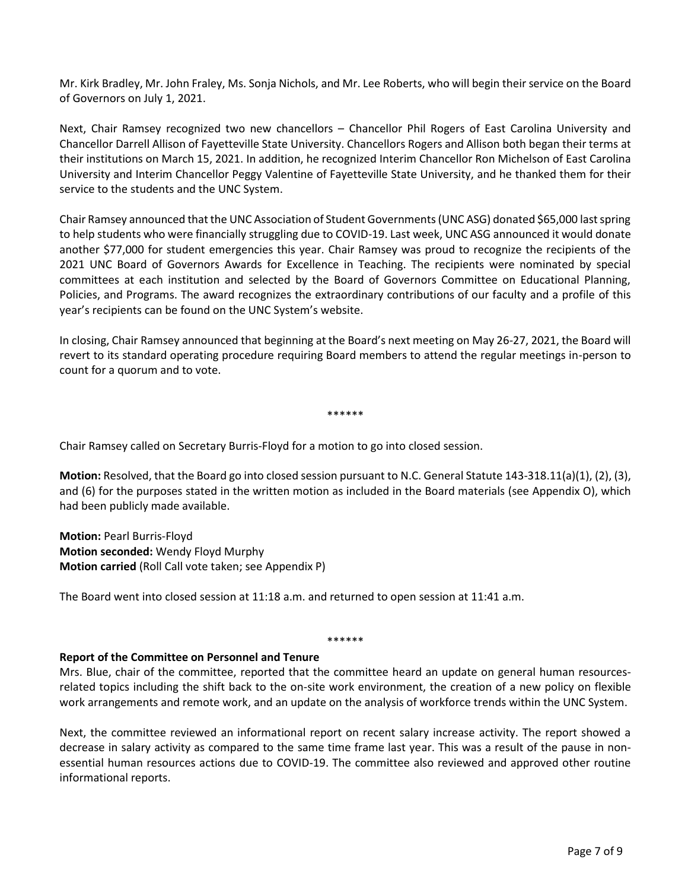Mr. Kirk Bradley, Mr. John Fraley, Ms. Sonja Nichols, and Mr. Lee Roberts, who will begin their service on the Board of Governors on July 1, 2021.

Next, Chair Ramsey recognized two new chancellors – Chancellor Phil Rogers of East Carolina University and Chancellor Darrell Allison of Fayetteville State University. Chancellors Rogers and Allison both began their terms at their institutions on March 15, 2021. In addition, he recognized Interim Chancellor Ron Michelson of East Carolina University and Interim Chancellor Peggy Valentine of Fayetteville State University, and he thanked them for their service to the students and the UNC System.

Chair Ramsey announced that the UNC Association of Student Governments (UNC ASG) donated \$65,000 last spring to help students who were financially struggling due to COVID-19. Last week, UNC ASG announced it would donate another \$77,000 for student emergencies this year. Chair Ramsey was proud to recognize the recipients of the 2021 UNC Board of Governors Awards for Excellence in Teaching. The recipients were nominated by special committees at each institution and selected by the Board of Governors Committee on Educational Planning, Policies, and Programs. The award recognizes the extraordinary contributions of our faculty and a profile of this year's recipients can be found on the UNC System's website.

In closing, Chair Ramsey announced that beginning at the Board's next meeting on May 26-27, 2021, the Board will revert to its standard operating procedure requiring Board members to attend the regular meetings in-person to count for a quorum and to vote.

\*\*\*\*\*\*

Chair Ramsey called on Secretary Burris-Floyd for a motion to go into closed session.

**Motion:** Resolved, that the Board go into closed session pursuant to N.C. General Statute 143-318.11(a)(1), (2), (3), and (6) for the purposes stated in the written motion as included in the Board materials (see Appendix O), which had been publicly made available.

**Motion:** Pearl Burris-Floyd **Motion seconded:** Wendy Floyd Murphy **Motion carried** (Roll Call vote taken; see Appendix P)

The Board went into closed session at 11:18 a.m. and returned to open session at 11:41 a.m.

#### \*\*\*\*\*\*

#### **Report of the Committee on Personnel and Tenure**

Mrs. Blue, chair of the committee, reported that the committee heard an update on general human resourcesrelated topics including the shift back to the on-site work environment, the creation of a new policy on flexible work arrangements and remote work, and an update on the analysis of workforce trends within the UNC System.

Next, the committee reviewed an informational report on recent salary increase activity. The report showed a decrease in salary activity as compared to the same time frame last year. This was a result of the pause in nonessential human resources actions due to COVID-19. The committee also reviewed and approved other routine informational reports.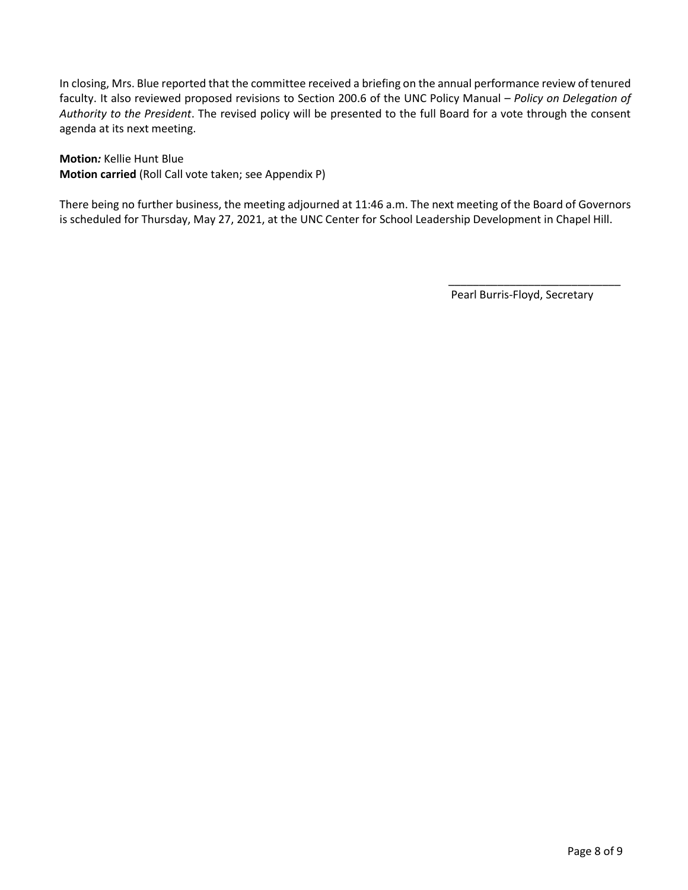In closing, Mrs. Blue reported that the committee received a briefing on the annual performance review of tenured faculty. It also reviewed proposed revisions to Section 200.6 of the UNC Policy Manual – *Policy on Delegation of Authority to the President*. The revised policy will be presented to the full Board for a vote through the consent agenda at its next meeting.

**Motion***:* Kellie Hunt Blue **Motion carried** (Roll Call vote taken; see Appendix P)

There being no further business, the meeting adjourned at 11:46 a.m. The next meeting of the Board of Governors is scheduled for Thursday, May 27, 2021, at the UNC Center for School Leadership Development in Chapel Hill.

Pearl Burris-Floyd, Secretary

 $\frac{1}{\sqrt{2\pi}+\sqrt{2\pi}}\left[\frac{1}{\sqrt{2\pi}}\frac{1}{\sqrt{2\pi}}\frac{1}{\sqrt{2\pi}}\frac{1}{\sqrt{2\pi}}\frac{1}{\sqrt{2\pi}}\frac{1}{\sqrt{2\pi}}\frac{1}{\sqrt{2\pi}}\frac{1}{\sqrt{2\pi}}\frac{1}{\sqrt{2\pi}}\frac{1}{\sqrt{2\pi}}\frac{1}{\sqrt{2\pi}}\frac{1}{\sqrt{2\pi}}\frac{1}{\sqrt{2\pi}}\frac{1}{\sqrt{2\pi}}\frac{1}{\sqrt{2\pi}}\frac{1}{\sqrt{2\pi}}\frac{1}{\sqrt$